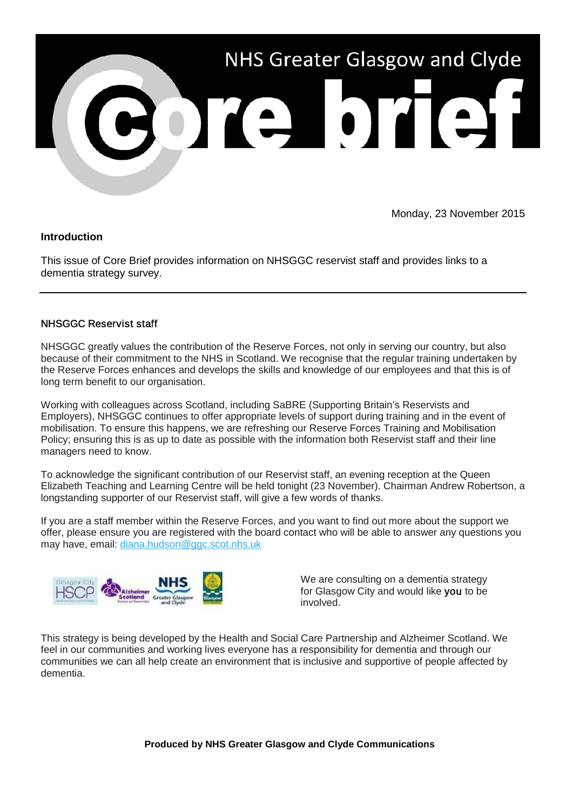

Monday, 23 November 2015

## **Introduction**

This issue of Core Brief provides information on NHSGGC reservist staff and provides links to a dementia strategy survey.

## NHSGGC Reservist staff

NHSGGC greatly values the contribution of the Reserve Forces, not only in serving our country, but also because of their commitment to the NHS in Scotland. We recognise that the regular training undertaken by the Reserve Forces enhances and develops the skills and knowledge of our employees and that this is of long term benefit to our organisation.

Working with colleagues across Scotland, including SaBRE (Supporting Britain's Reservists and Employers), NHSGGC continues to offer appropriate levels of support during training and in the event of mobilisation. To ensure this happens, we are refreshing our Reserve Forces Training and Mobilisation Policy; ensuring this is as up to date as possible with the information both Reservist staff and their line managers need to know.

To acknowledge the significant contribution of our Reservist staff, an evening reception at the Queen Elizabeth Teaching and Learning Centre will be held tonight (23 November). Chairman Andrew Robertson, a longstanding supporter of our Reservist staff, will give a few words of thanks.

If you are a staff member within the Reserve Forces, and you want to find out more about the support we offer, please ensure you are registered with the board contact who will be able to answer any questions you may have, email: [diana.hudson@ggc.scot.nhs.uk](mailto:diana.hudson@ggc.scot.nhs.uk)



We are consulting on a dementia strategy for Glasgow City and would like you to be involved.

This strategy is being developed by the Health and Social Care Partnership and Alzheimer Scotland. We feel in our communities and working lives everyone has a responsibility for dementia and through our communities we can all help create an environment that is inclusive and supportive of people affected by dementia.